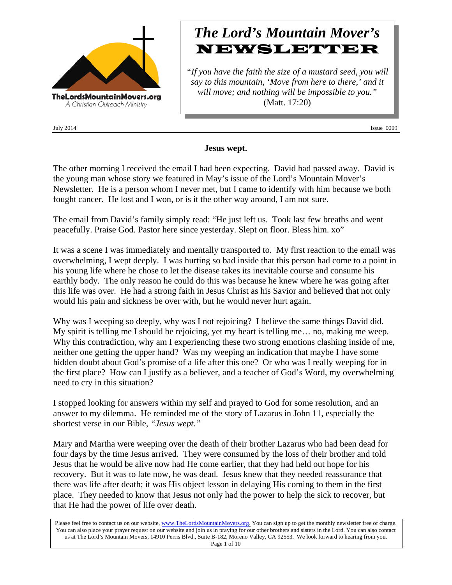

# *The Lord's Mountain Mover's* NEWSLETTER

*"If you have the faith the size of a mustard seed, you will say to this mountain, 'Move from here to there,' and it will move; and nothing will be impossible to you."* (Matt. 17:20)

July 2014 Issue 0009

## **Jesus wept.**

The other morning I received the email I had been expecting. David had passed away. David is the young man whose story we featured in May's issue of the Lord's Mountain Mover's Newsletter. He is a person whom I never met, but I came to identify with him because we both fought cancer. He lost and I won, or is it the other way around, I am not sure.

The email from David's family simply read: "He just left us. Took last few breaths and went peacefully. Praise God. Pastor here since yesterday. Slept on floor. Bless him. xo"

It was a scene I was immediately and mentally transported to. My first reaction to the email was overwhelming, I wept deeply. I was hurting so bad inside that this person had come to a point in his young life where he chose to let the disease takes its inevitable course and consume his earthly body. The only reason he could do this was because he knew where he was going after this life was over. He had a strong faith in Jesus Christ as his Savior and believed that not only would his pain and sickness be over with, but he would never hurt again.

Why was I weeping so deeply, why was I not rejoicing? I believe the same things David did. My spirit is telling me I should be rejoicing, yet my heart is telling me… no, making me weep. Why this contradiction, why am I experiencing these two strong emotions clashing inside of me, neither one getting the upper hand? Was my weeping an indication that maybe I have some hidden doubt about God's promise of a life after this one? Or who was I really weeping for in the first place? How can I justify as a believer, and a teacher of God's Word, my overwhelming need to cry in this situation?

I stopped looking for answers within my self and prayed to God for some resolution, and an answer to my dilemma. He reminded me of the story of Lazarus in John 11, especially the shortest verse in our Bible, *"Jesus wept."*

Mary and Martha were weeping over the death of their brother Lazarus who had been dead for four days by the time Jesus arrived. They were consumed by the loss of their brother and told Jesus that he would be alive now had He come earlier, that they had held out hope for his recovery. But it was to late now, he was dead. Jesus knew that they needed reassurance that there was life after death; it was His object lesson in delaying His coming to them in the first place. They needed to know that Jesus not only had the power to help the sick to recover, but that He had the power of life over death.

Please feel free to contact us on our website, www.TheLordsMountainMovers.org. You can sign up to get the monthly newsletter free of charge. You can also place your prayer request on our website and join us in praying for our other brothers and sisters in the Lord. You can also contact us at The Lord's Mountain Movers, 14910 Perris Blvd., Suite B-182, Moreno Valley, CA 92553. We look forward to hearing from you. Page 1 of 10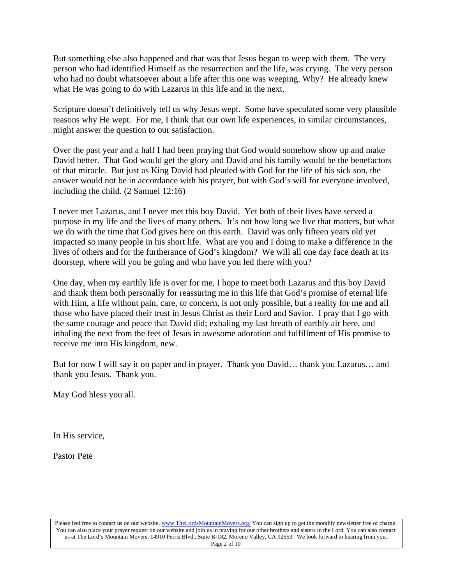But something else also happened and that was that Jesus began to weep with them. The very person who had identified Himself as the resurrection and the life, was crying. The very person who had no doubt whatsoever about a life after this one was weeping. Why? He already knew what He was going to do with Lazarus in this life and in the next.

Scripture doesn't definitively tell us why Jesus wept. Some have speculated some very plausible reasons why He wept. For me, I think that our own life experiences, in similar circumstances, might answer the question to our satisfaction.

Over the past year and a half I had been praying that God would somehow show up and make David better. That God would get the glory and David and his family would be the benefactors of that miracle. But just as King David had pleaded with God for the life of his sick son, the answer would not be in accordance with his prayer, but with God's will for everyone involved, including the child. (2 Samuel 12:16)

I never met Lazarus, and I never met this boy David. Yet both of their lives have served a purpose in my life and the lives of many others. It's not how long we live that matters, but what we do with the time that God gives here on this earth. David was only fifteen years old yet impacted so many people in his short life. What are you and I doing to make a difference in the lives of others and for the furtherance of God's kingdom? We will all one day face death at its doorstep, where will you be going and who have you led there with you?

One day, when my earthly life is over for me, I hope to meet both Lazarus and this boy David and thank them both personally for reassuring me in this life that God's promise of eternal life with Him, a life without pain, care, or concern, is not only possible, but a reality for me and all those who have placed their trust in Jesus Christ as their Lord and Savior. I pray that I go with the same courage and peace that David did; exhaling my last breath of earthly air here, and inhaling the next from the feet of Jesus in awesome adoration and fulfillment of His promise to receive me into His kingdom, new.

But for now I will say it on paper and in prayer. Thank you David… thank you Lazarus… and thank you Jesus. Thank you.

May God bless you all.

In His service,

Pastor Pete

Please feel free to contact us on our website, www.TheLordsMountainMovers.org. You can sign up to get the monthly newsletter free of charge. You can also place your prayer request on our website and join us in praying for our other brothers and sisters in the Lord. You can also contact us at The Lord's Mountain Movers, 14910 Perris Blvd., Suite B-182, Moreno Valley, CA 92553. We look forward to hearing from you. Page 2 of 10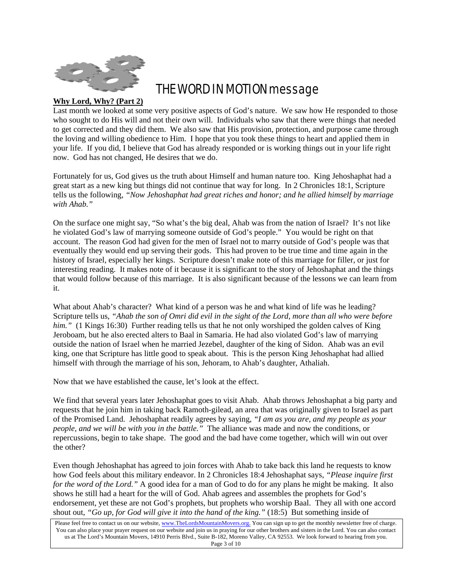

# THE WORD IN MOTION message

## **Why Lord, Why? (Part 2)**

Last month we looked at some very positive aspects of God's nature. We saw how He responded to those who sought to do His will and not their own will. Individuals who saw that there were things that needed to get corrected and they did them. We also saw that His provision, protection, and purpose came through the loving and willing obedience to Him. I hope that you took these things to heart and applied them in your life. If you did, I believe that God has already responded or is working things out in your life right now. God has not changed, He desires that we do.

Fortunately for us, God gives us the truth about Himself and human nature too. King Jehoshaphat had a great start as a new king but things did not continue that way for long. In 2 Chronicles 18:1, Scripture tells us the following, *"Now Jehoshaphat had great riches and honor; and he allied himself by marriage with Ahab."*

On the surface one might say, "So what's the big deal, Ahab was from the nation of Israel? It's not like he violated God's law of marrying someone outside of God's people." You would be right on that account. The reason God had given for the men of Israel not to marry outside of God's people was that eventually they would end up serving their gods. This had proven to be true time and time again in the history of Israel, especially her kings. Scripture doesn't make note of this marriage for filler, or just for interesting reading. It makes note of it because it is significant to the story of Jehoshaphat and the things that would follow because of this marriage. It is also significant because of the lessons we can learn from it.

What about Ahab's character? What kind of a person was he and what kind of life was he leading? Scripture tells us, *"Ahab the son of Omri did evil in the sight of the Lord, more than all who were before him."* (1 Kings 16:30) Further reading tells us that he not only worshiped the golden calves of King Jeroboam, but he also erected alters to Baal in Samaria. He had also violated God's law of marrying outside the nation of Israel when he married Jezebel, daughter of the king of Sidon. Ahab was an evil king, one that Scripture has little good to speak about. This is the person King Jehoshaphat had allied himself with through the marriage of his son, Jehoram, to Ahab's daughter, Athaliah.

Now that we have established the cause, let's look at the effect.

We find that several years later Jehoshaphat goes to visit Ahab. Ahab throws Jehoshaphat a big party and requests that he join him in taking back Ramoth-gilead, an area that was originally given to Israel as part of the Promised Land. Jehoshaphat readily agrees by saying, *"I am as you are, and my people as your people, and we will be with you in the battle."* The alliance was made and now the conditions, or repercussions, begin to take shape. The good and the bad have come together, which will win out over the other?

Even though Jehoshaphat has agreed to join forces with Ahab to take back this land he requests to know how God feels about this military endeavor. In 2 Chronicles 18:4 Jehoshaphat says, *"Please inquire first for the word of the Lord."* A good idea for a man of God to do for any plans he might be making. It also shows he still had a heart for the will of God. Ahab agrees and assembles the prophets for God's endorsement, yet these are not God's prophets, but prophets who worship Baal. They all with one accord shout out, *"Go up, for God will give it into the hand of the king."* (18:5) But something inside of

Please feel free to contact us on our website, www.TheLordsMountainMovers.org. You can sign up to get the monthly newsletter free of charge. You can also place your prayer request on our website and join us in praying for our other brothers and sisters in the Lord. You can also contact us at The Lord's Mountain Movers, 14910 Perris Blvd., Suite B-182, Moreno Valley, CA 92553. We look forward to hearing from you. Page 3 of 10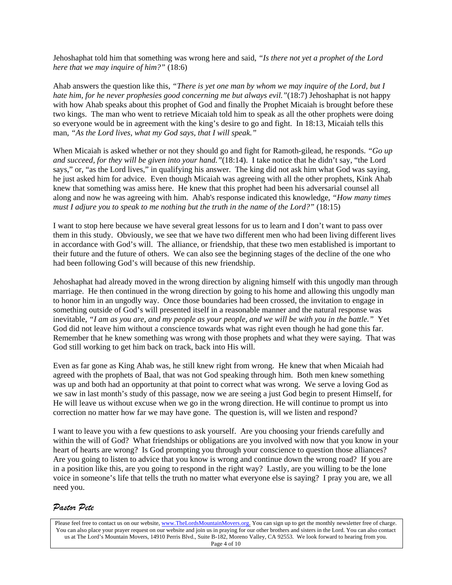Jehoshaphat told him that something was wrong here and said, *"Is there not yet a prophet of the Lord here that we may inquire of him?"* (18:6)

Ahab answers the question like this*, "There is yet one man by whom we may inquire of the Lord, but I hate him, for he never prophesies good concerning me but always evil."*(18:7) Jehoshaphat is not happy with how Ahab speaks about this prophet of God and finally the Prophet Micaiah is brought before these two kings. The man who went to retrieve Micaiah told him to speak as all the other prophets were doing so everyone would be in agreement with the king's desire to go and fight. In 18:13, Micaiah tells this man, *"As the Lord lives, what my God says, that I will speak."*

When Micaiah is asked whether or not they should go and fight for Ramoth-gilead, he responds. *"Go up and succeed, for they will be given into your hand."*(18:14). I take notice that he didn't say, "the Lord says," or, "as the Lord lives," in qualifying his answer. The king did not ask him what God was saying, he just asked him for advice. Even though Micaiah was agreeing with all the other prophets, Kink Ahab knew that something was amiss here. He knew that this prophet had been his adversarial counsel all along and now he was agreeing with him. Ahab's response indicated this knowledge*, "How many times must I adjure you to speak to me nothing but the truth in the name of the Lord?"* (18:15)

I want to stop here because we have several great lessons for us to learn and I don't want to pass over them in this study. Obviously, we see that we have two different men who had been living different lives in accordance with God's will. The alliance, or friendship, that these two men established is important to their future and the future of others. We can also see the beginning stages of the decline of the one who had been following God's will because of this new friendship.

Jehoshaphat had already moved in the wrong direction by aligning himself with this ungodly man through marriage. He then continued in the wrong direction by going to his home and allowing this ungodly man to honor him in an ungodly way. Once those boundaries had been crossed, the invitation to engage in something outside of God's will presented itself in a reasonable manner and the natural response was inevitable, *"I am as you are, and my people as your people, and we will be with you in the battle."* Yet God did not leave him without a conscience towards what was right even though he had gone this far. Remember that he knew something was wrong with those prophets and what they were saying. That was God still working to get him back on track, back into His will.

Even as far gone as King Ahab was, he still knew right from wrong. He knew that when Micaiah had agreed with the prophets of Baal, that was not God speaking through him. Both men knew something was up and both had an opportunity at that point to correct what was wrong. We serve a loving God as we saw in last month's study of this passage, now we are seeing a just God begin to present Himself, for He will leave us without excuse when we go in the wrong direction. He will continue to prompt us into correction no matter how far we may have gone. The question is, will we listen and respond?

I want to leave you with a few questions to ask yourself. Are you choosing your friends carefully and within the will of God? What friendships or obligations are you involved with now that you know in your heart of hearts are wrong? Is God prompting you through your conscience to question those alliances? Are you going to listen to advice that you know is wrong and continue down the wrong road? If you are in a position like this, are you going to respond in the right way? Lastly, are you willing to be the lone voice in someone's life that tells the truth no matter what everyone else is saying? I pray you are, we all need you.

## *Pastor Pete*

Please feel free to contact us on our website, www.TheLordsMountainMovers.org. You can sign up to get the monthly newsletter free of charge. You can also place your prayer request on our website and join us in praying for our other brothers and sisters in the Lord. You can also contact us at The Lord's Mountain Movers, 14910 Perris Blvd., Suite B-182, Moreno Valley, CA 92553. We look forward to hearing from you. Page 4 of 10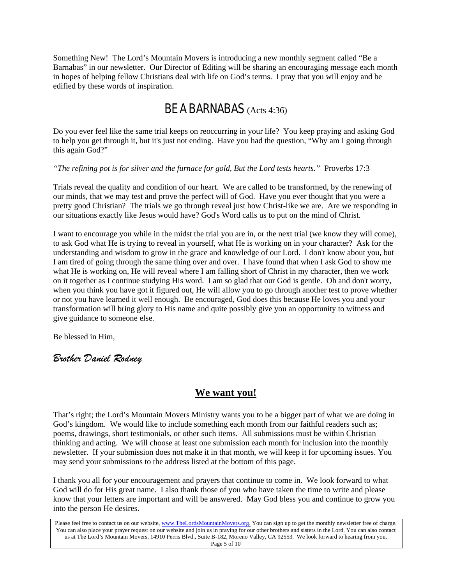Something New! The Lord's Mountain Movers is introducing a new monthly segment called "Be a Barnabas" in our newsletter. Our Director of Editing will be sharing an encouraging message each month in hopes of helping fellow Christians deal with life on God's terms. I pray that you will enjoy and be edified by these words of inspiration.

## BE A BARNABAS (Acts 4:36)

Do you ever feel like the same trial keeps on reoccurring in your life? You keep praying and asking God to help you get through it, but it's just not ending. Have you had the question, "Why am I going through this again God?"

## *"The refining pot is for silver and the furnace for gold, But the Lord tests hearts."* Proverbs 17:3

Trials reveal the quality and condition of our heart. We are called to be transformed, by the renewing of our minds, that we may test and prove the perfect will of God. Have you ever thought that you were a pretty good Christian? The trials we go through reveal just how Christ-like we are. Are we responding in our situations exactly like Jesus would have? God's Word calls us to put on the mind of Christ.

I want to encourage you while in the midst the trial you are in, or the next trial (we know they will come), to ask God what He is trying to reveal in yourself, what He is working on in your character? Ask for the understanding and wisdom to grow in the grace and knowledge of our Lord. I don't know about you, but I am tired of going through the same thing over and over. I have found that when I ask God to show me what He is working on, He will reveal where I am falling short of Christ in my character, then we work on it together as I continue studying His word. I am so glad that our God is gentle. Oh and don't worry, when you think you have got it figured out, He will allow you to go through another test to prove whether or not you have learned it well enough. Be encouraged, God does this because He loves you and your transformation will bring glory to His name and quite possibly give you an opportunity to witness and give guidance to someone else.

Be blessed in Him,

## *Brother Daniel Rodney*

## **We want you!**

That's right; the Lord's Mountain Movers Ministry wants you to be a bigger part of what we are doing in God's kingdom. We would like to include something each month from our faithful readers such as; poems, drawings, short testimonials, or other such items. All submissions must be within Christian thinking and acting. We will choose at least one submission each month for inclusion into the monthly newsletter. If your submission does not make it in that month, we will keep it for upcoming issues. You may send your submissions to the address listed at the bottom of this page.

I thank you all for your encouragement and prayers that continue to come in. We look forward to what God will do for His great name. I also thank those of you who have taken the time to write and please know that your letters are important and will be answered. May God bless you and continue to grow you into the person He desires.

Please feel free to contact us on our website, www.TheLordsMountainMovers.org. You can sign up to get the monthly newsletter free of charge. You can also place your prayer request on our website and join us in praying for our other brothers and sisters in the Lord. You can also contact us at The Lord's Mountain Movers, 14910 Perris Blvd., Suite B-182, Moreno Valley, CA 92553. We look forward to hearing from you. Page 5 of 10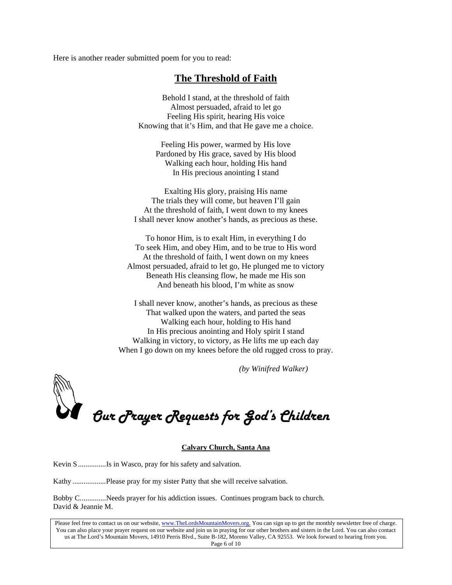Here is another reader submitted poem for you to read:

## **The Threshold of Faith**

Behold I stand, at the threshold of faith Almost persuaded, afraid to let go Feeling His spirit, hearing His voice Knowing that it's Him, and that He gave me a choice.

Feeling His power, warmed by His love Pardoned by His grace, saved by His blood Walking each hour, holding His hand In His precious anointing I stand

Exalting His glory, praising His name The trials they will come, but heaven I'll gain At the threshold of faith, I went down to my knees I shall never know another's hands, as precious as these.

To honor Him, is to exalt Him, in everything I do To seek Him, and obey Him, and to be true to His word At the threshold of faith, I went down on my knees Almost persuaded, afraid to let go, He plunged me to victory Beneath His cleansing flow, he made me His son And beneath his blood, I'm white as snow

I shall never know, another's hands, as precious as these That walked upon the waters, and parted the seas Walking each hour, holding to His hand In His precious anointing and Holy spirit I stand Walking in victory, to victory, as He lifts me up each day When I go down on my knees before the old rugged cross to pray.

 *(by Winifred Walker)*

*Our Prayer Requests for God's Children* 

#### **Calvary Church, Santa Ana**

Kevin S ...............Is in Wasco, pray for his safety and salvation.

Kathy ..................Please pray for my sister Patty that she will receive salvation.

Bobby C..............Needs prayer for his addiction issues. Continues program back to church. David & Jeannie M.

Please feel free to contact us on our website, www.TheLordsMountainMovers.org. You can sign up to get the monthly newsletter free of charge. You can also place your prayer request on our website and join us in praying for our other brothers and sisters in the Lord. You can also contact us at The Lord's Mountain Movers, 14910 Perris Blvd., Suite B-182, Moreno Valley, CA 92553. We look forward to hearing from you. Page 6 of 10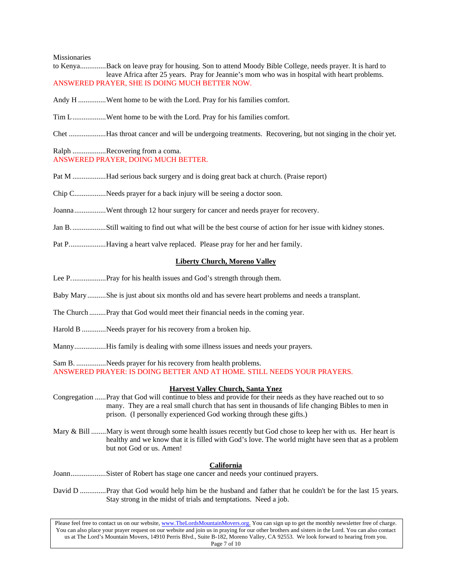#### Missionaries

- to Kenya..............Back on leave pray for housing. Son to attend Moody Bible College, needs prayer. It is hard to leave Africa after 25 years. Pray for Jeannie's mom who was in hospital with heart problems. ANSWERED PRAYER, SHE IS DOING MUCH BETTER NOW.
- Andy H ...............Went home to be with the Lord. Pray for his families comfort.
- Tim L..................Went home to be with the Lord. Pray for his families comfort.
- Chet ....................Has throat cancer and will be undergoing treatments. Recovering, but not singing in the choir yet.

#### Ralph .................Recovering from a coma. ANSWERED PRAYER, DOING MUCH BETTER.

- Pat M ..................Had serious back surgery and is doing great back at church. (Praise report)
- Chip C.................Needs prayer for a back injury will be seeing a doctor soon.
- Joanna.................Went through 12 hour surgery for cancer and needs prayer for recovery.
- Jan B...................Still waiting to find out what will be the best course of action for her issue with kidney stones.
- Pat P....................Having a heart valve replaced. Please pray for her and her family.

#### **Liberty Church, Moreno Valley**

- Lee P...................Pray for his health issues and God's strength through them.
- Baby Mary..........She is just about six months old and has severe heart problems and needs a transplant.
- The Church .........Pray that God would meet their financial needs in the coming year.
- Harold B .............Needs prayer for his recovery from a broken hip.
- Manny.................His family is dealing with some illness issues and needs your prayers.

Sam B. ................Needs prayer for his recovery from health problems.

ANSWERED PRAYER: IS DOING BETTER AND AT HOME. STILL NEEDS YOUR PRAYERS.

#### **Harvest Valley Church, Santa Ynez**

- Congregation ......Pray that God will continue to bless and provide for their needs as they have reached out to so many. They are a real small church that has sent in thousands of life changing Bibles to men in prison. (I personally experienced God working through these gifts.)
- Mary & Bill ........Mary is went through some health issues recently but God chose to keep her with us. Her heart is healthy and we know that it is filled with God's love. The world might have seen that as a problem but not God or us. Amen!

#### **California**

- Joann...................Sister of Robert has stage one cancer and needs your continued prayers.
- David D ..............Pray that God would help him be the husband and father that he couldn't be for the last 15 years. Stay strong in the midst of trials and temptations. Need a job.

Please feel free to contact us on our website, www.TheLordsMountainMovers.org. You can sign up to get the monthly newsletter free of charge. You can also place your prayer request on our website and join us in praying for our other brothers and sisters in the Lord. You can also contact us at The Lord's Mountain Movers, 14910 Perris Blvd., Suite B-182, Moreno Valley, CA 92553. We look forward to hearing from you. Page 7 of 10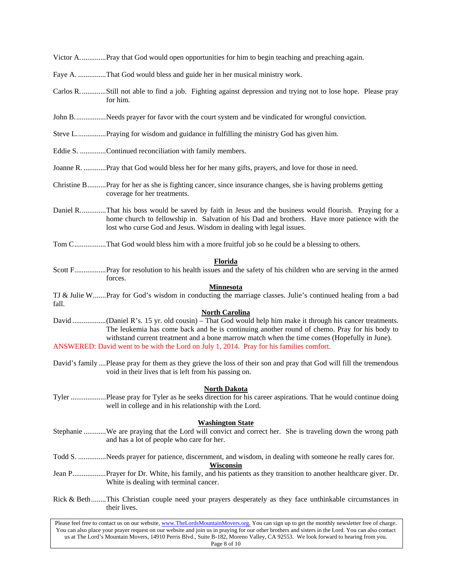Victor A..............Pray that God would open opportunities for him to begin teaching and preaching again.

- Faye A. ...............That God would bless and guide her in her musical ministry work.
- Carlos R..............Still not able to find a job. Fighting against depression and trying not to lose hope. Please pray for him.
- John B..................Needs prayer for favor with the court system and be vindicated for wrongful conviction.
- Steve L................Praying for wisdom and guidance in fulfilling the ministry God has given him.
- Eddie S. ..............Continued reconciliation with family members.
- Joanne R. ............Pray that God would bless her for her many gifts, prayers, and love for those in need.
- Christine B..........Pray for her as she is fighting cancer, since insurance changes, she is having problems getting coverage for her treatments.
- Daniel R..............That his boss would be saved by faith in Jesus and the business would flourish. Praying for a home church to fellowship in. Salvation of his Dad and brothers. Have more patience with the lost who curse God and Jesus. Wisdom in dealing with legal issues.
- Tom C.................That God would bless him with a more fruitful job so he could be a blessing to others.

#### **Florida**

Scott F.................Pray for resolution to his health issues and the safety of his children who are serving in the armed forces.

### **Minnesota**

TJ & Julie W.......Pray for God's wisdom in conducting the marriage classes. Julie's continued healing from a bad fall.

### **North Carolina**

- David ..................(Daniel R's. 15 yr. old cousin) That God would help him make it through his cancer treatments. The leukemia has come back and he is continuing another round of chemo. Pray for his body to withstand current treatment and a bone marrow match when the time comes (Hopefully in June). ANSWERED: David went to be with the Lord on July 1, 2014. Pray for his families comfort.
- David's family ....Please pray for them as they grieve the loss of their son and pray that God will fill the tremendous void in their lives that is left from his passing on.

#### **North Dakota**

Tyler ...................Please pray for Tyler as he seeks direction for his career aspirations. That he would continue doing well in college and in his relationship with the Lord.

#### **Washington State**

- Stephanie ............We are praying that the Lord will convict and correct her. She is traveling down the wrong path and has a lot of people who care for her.
- Todd S. ...............Needs prayer for patience, discernment, and wisdom, in dealing with someone he really cares for.

## **Wisconsin**

- Jean P..................Prayer for Dr. White, his family, and his patients as they transition to another healthcare giver. Dr. White is dealing with terminal cancer.
- Rick & Beth........This Christian couple need your prayers desperately as they face unthinkable circumstances in their lives.

Please feel free to contact us on our website, www.TheLordsMountainMovers.org. You can sign up to get the monthly newsletter free of charge. You can also place your prayer request on our website and join us in praying for our other brothers and sisters in the Lord. You can also contact us at The Lord's Mountain Movers, 14910 Perris Blvd., Suite B-182, Moreno Valley, CA 92553. We look forward to hearing from you. Page 8 of 10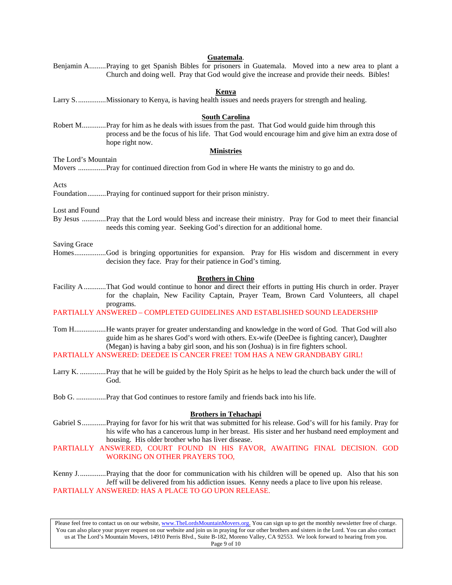| Guatemala.                                                                                                                                                                                                                                                                                                                                                              |
|-------------------------------------------------------------------------------------------------------------------------------------------------------------------------------------------------------------------------------------------------------------------------------------------------------------------------------------------------------------------------|
| Benjamin APraying to get Spanish Bibles for prisoners in Guatemala. Moved into a new area to plant a<br>Church and doing well. Pray that God would give the increase and provide their needs. Bibles!                                                                                                                                                                   |
| <b>Kenya</b>                                                                                                                                                                                                                                                                                                                                                            |
|                                                                                                                                                                                                                                                                                                                                                                         |
| <b>South Carolina</b>                                                                                                                                                                                                                                                                                                                                                   |
| Robert MPray for him as he deals with issues from the past. That God would guide him through this<br>process and be the focus of his life. That God would encourage him and give him an extra dose of<br>hope right now.                                                                                                                                                |
| <b>Ministries</b>                                                                                                                                                                                                                                                                                                                                                       |
| The Lord's Mountain                                                                                                                                                                                                                                                                                                                                                     |
| Acts                                                                                                                                                                                                                                                                                                                                                                    |
| FoundationPraying for continued support for their prison ministry.                                                                                                                                                                                                                                                                                                      |
| Lost and Found                                                                                                                                                                                                                                                                                                                                                          |
| By Jesus Pray that the Lord would bless and increase their ministry. Pray for God to meet their financial<br>needs this coming year. Seeking God's direction for an additional home.                                                                                                                                                                                    |
| <b>Saving Grace</b>                                                                                                                                                                                                                                                                                                                                                     |
| HomesGod is bringing opportunities for expansion. Pray for His wisdom and discernment in every<br>decision they face. Pray for their patience in God's timing.                                                                                                                                                                                                          |
| <b>Brothers in Chino</b>                                                                                                                                                                                                                                                                                                                                                |
| Facility AThat God would continue to honor and direct their efforts in putting His church in order. Prayer<br>for the chaplain, New Facility Captain, Prayer Team, Brown Card Volunteers, all chapel                                                                                                                                                                    |
| programs.<br>PARTIALLY ANSWERED - COMPLETED GUIDELINES AND ESTABLISHED SOUND LEADERSHIP                                                                                                                                                                                                                                                                                 |
| Tom HHe wants prayer for greater understanding and knowledge in the word of God. That God will also<br>guide him as he shares God's word with others. Ex-wife (DeeDee is fighting cancer), Daughter<br>(Megan) is having a baby girl soon, and his son (Joshua) is in fire fighters school.<br>PARTIALLY ANSWERED: DEEDEE IS CANCER FREE! TOM HAS A NEW GRANDBABY GIRL! |
| Larry K.  Pray that he will be guided by the Holy Spirit as he helps to lead the church back under the will of<br>God.                                                                                                                                                                                                                                                  |
|                                                                                                                                                                                                                                                                                                                                                                         |
|                                                                                                                                                                                                                                                                                                                                                                         |
| <b>Brothers in Tehachapi</b><br>Gabriel SPraying for favor for his writ that was submitted for his release. God's will for his family. Pray for<br>his wife who has a cancerous lump in her breast. His sister and her husband need employment and<br>housing. His older brother who has liver disease.                                                                 |
| PARTIALLY ANSWERED, COURT FOUND IN HIS FAVOR, AWAITING FINAL DECISION. GOD<br><b>WORKING ON OTHER PRAYERS TOO,</b>                                                                                                                                                                                                                                                      |
| Kenny J Praying that the door for communication with his children will be opened up. Also that his son<br>Jeff will be delivered from his addiction issues. Kenny needs a place to live upon his release.<br>PARTIALLY ANSWERED: HAS A PLACE TO GO UPON RELEASE.                                                                                                        |
|                                                                                                                                                                                                                                                                                                                                                                         |

Please feel free to contact us on our website, www.TheLordsMountainMovers.org. You can sign up to get the monthly newsletter free of charge. You can also place your prayer request on our website and join us in praying for our other brothers and sisters in the Lord. You can also contact us at The Lord's Mountain Movers, 14910 Perris Blvd., Suite B-182, Moreno Valley, CA 92553. We look forward to hearing from you. Page 9 of 10